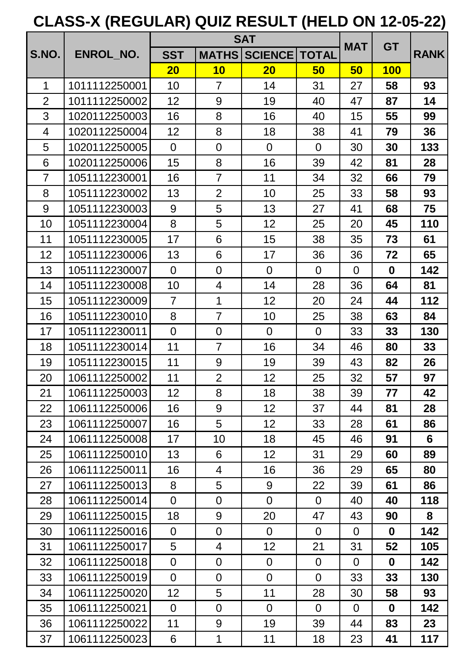|                |               | <b>SAT</b>      |                |                 |                |                | <b>GT</b>        |             |
|----------------|---------------|-----------------|----------------|-----------------|----------------|----------------|------------------|-------------|
| <b>S.NO.</b>   | ENROL_NO.     | <b>SST</b>      | <b>MATHS</b>   | <b>SCIENCE</b>  | <b>TOTAL</b>   | <b>MAT</b>     |                  | <b>RANK</b> |
|                |               | 20              | 10             | 20              | 50             | 50             | <b>100</b>       |             |
| 1              | 1011112250001 | 10              | $\overline{7}$ | 14              | 31             | 27             | 58               | 93          |
| $\overline{2}$ | 1011112250002 | 12 <sub>2</sub> | 9              | 19              | 40             | 47             | 87               | 14          |
| 3              | 1020112250003 | 16              | 8              | 16              | 40             | 15             | 55               | 99          |
| 4              | 1020112250004 | 12              | 8              | 18              | 38             | 41             | 79               | 36          |
| 5              | 1020112250005 | $\overline{0}$  | $\overline{0}$ | $\Omega$        | $\Omega$       | 30             | 30               | 133         |
| 6              | 1020112250006 | 15              | 8              | 16              | 39             | 42             | 81               | 28          |
| $\overline{7}$ | 1051112230001 | 16              | $\overline{7}$ | 11              | 34             | 32             | 66               | 79          |
| 8              | 1051112230002 | 13              | $\overline{2}$ | 10              | 25             | 33             | 58               | 93          |
| 9              | 1051112230003 | 9               | 5              | 13              | 27             | 41             | 68               | 75          |
| 10             | 1051112230004 | 8               | 5              | 12              | 25             | 20             | 45               | 110         |
| 11             | 1051112230005 | 17              | 6              | 15              | 38             | 35             | 73               | 61          |
| 12             | 1051112230006 | 13              | 6              | 17              | 36             | 36             | 72               | 65          |
| 13             | 1051112230007 | $\overline{0}$  | $\overline{0}$ | $\overline{0}$  | $\overline{0}$ | $\Omega$       | $\boldsymbol{0}$ | 142         |
| 14             | 1051112230008 | 10              | 4              | 14              | 28             | 36             | 64               | 81          |
| 15             | 1051112230009 | $\overline{7}$  | 1              | 12 <sup>2</sup> | 20             | 24             | 44               | 112         |
| 16             | 1051112230010 | 8               | $\overline{7}$ | 10              | 25             | 38             | 63               | 84          |
| 17             | 1051112230011 | $\overline{0}$  | $\overline{0}$ | $\overline{0}$  | $\overline{0}$ | 33             | 33               | 130         |
| 18             | 1051112230014 | 11              | $\overline{7}$ | 16              | 34             | 46             | 80               | 33          |
| 19             | 1051112230015 | 11              | 9              | 19              | 39             | 43             | 82               | 26          |
| 20             | 1061112250002 | 11              | $\overline{2}$ | 12 <sub>2</sub> | 25             | 32             | 57               | 97          |
| 21             | 1061112250003 | 12              | 8              | 18              | 38             | 39             | 77               | 42          |
| 22             | 1061112250006 | 16              | 9              | 12 <sub>2</sub> | 37             | 44             | 81               | 28          |
| 23             | 1061112250007 | 16              | 5              | 12 <sub>2</sub> | 33             | 28             | 61               | 86          |
| 24             | 1061112250008 | 17              | 10             | 18              | 45             | 46             | 91               | 6           |
| 25             | 1061112250010 | 13              | 6              | 12 <sub>2</sub> | 31             | 29             | 60               | 89          |
| 26             | 1061112250011 | 16              | 4              | 16              | 36             | 29             | 65               | 80          |
| 27             | 1061112250013 | 8               | 5              | 9               | 22             | 39             | 61               | 86          |
| 28             | 1061112250014 | $\overline{0}$  | $\mathbf 0$    | $\overline{0}$  | $\overline{0}$ | 40             | 40               | 118         |
| 29             | 1061112250015 | 18              | 9              | 20              | 47             | 43             | 90               | 8           |
| 30             | 1061112250016 | $\overline{0}$  | $\overline{0}$ | $\overline{0}$  | $\overline{0}$ | $\Omega$       | $\bf{0}$         | 142         |
| 31             | 1061112250017 | 5               | 4              | 12 <sub>2</sub> | 21             | 31             | 52               | 105         |
| 32             | 1061112250018 | $\mathbf 0$     | $\mathbf 0$    | $\overline{0}$  | $\overline{0}$ | $\Omega$       | $\bf{0}$         | 142         |
| 33             | 1061112250019 | $\overline{0}$  | $\overline{0}$ | $\overline{0}$  | $\overline{0}$ | 33             | 33               | 130         |
| 34             | 1061112250020 | 12 <sub>2</sub> | 5              | 11              | 28             | 30             | 58               | 93          |
| 35             | 1061112250021 | $\overline{0}$  | $\overline{0}$ | $\overline{0}$  | $\overline{0}$ | $\overline{0}$ | $\bf{0}$         | 142         |
| 36             | 1061112250022 | 11              | 9              | 19              | 39             | 44             | 83               | 23          |
| 37             | 1061112250023 | 6               | 1              | 11              | 18             | 23             | 41               | 117         |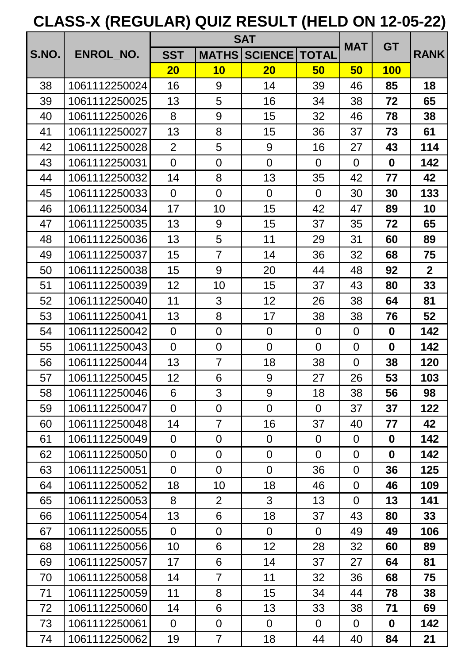|       |               |                | <b>SAT</b>     |                |                | <b>GT</b><br><b>MAT</b> |                  |                |
|-------|---------------|----------------|----------------|----------------|----------------|-------------------------|------------------|----------------|
| S.NO. | ENROL NO.     | <b>SST</b>     | <b>MATHS</b>   | <b>SCIENCE</b> | <b>TOTAL</b>   |                         |                  | <b>RANK</b>    |
|       |               | 20             | 10             | 20             | 50             | 50                      | <b>100</b>       |                |
| 38    | 1061112250024 | 16             | 9              | 14             | 39             | 46                      | 85               | 18             |
| 39    | 1061112250025 | 13             | 5              | 16             | 34             | 38                      | 72               | 65             |
| 40    | 1061112250026 | 8              | 9              | 15             | 32             | 46                      | 78               | 38             |
| 41    | 1061112250027 | 13             | 8              | 15             | 36             | 37                      | 73               | 61             |
| 42    | 1061112250028 | $\overline{2}$ | 5              | 9              | 16             | 27                      | 43               | 114            |
| 43    | 1061112250031 | $\overline{0}$ | 0              | $\overline{0}$ | $\overline{0}$ | $\overline{0}$          | $\bf{0}$         | 142            |
| 44    | 1061112250032 | 14             | 8              | 13             | 35             | 42                      | 77               | 42             |
| 45    | 1061112250033 | $\overline{0}$ | $\overline{0}$ | $\overline{0}$ | $\overline{0}$ | 30                      | 30               | 133            |
| 46    | 1061112250034 | 17             | 10             | 15             | 42             | 47                      | 89               | 10             |
| 47    | 1061112250035 | 13             | 9              | 15             | 37             | 35                      | 72               | 65             |
| 48    | 1061112250036 | 13             | 5              | 11             | 29             | 31                      | 60               | 89             |
| 49    | 1061112250037 | 15             | $\overline{7}$ | 14             | 36             | 32                      | 68               | 75             |
| 50    | 1061112250038 | 15             | 9              | 20             | 44             | 48                      | 92               | $\overline{2}$ |
| 51    | 1061112250039 | 12             | 10             | 15             | 37             | 43                      | 80               | 33             |
| 52    | 1061112250040 | 11             | 3              | 12             | 26             | 38                      | 64               | 81             |
| 53    | 1061112250041 | 13             | 8              | 17             | 38             | 38                      | 76               | 52             |
| 54    | 1061112250042 | $\overline{0}$ | $\overline{0}$ | $\overline{0}$ | $\overline{0}$ | $\overline{0}$          | $\bf{0}$         | 142            |
| 55    | 1061112250043 | $\overline{0}$ | $\overline{0}$ | $\overline{0}$ | $\overline{0}$ | $\overline{0}$          | $\boldsymbol{0}$ | 142            |
| 56    | 1061112250044 | 13             | $\overline{7}$ | 18             | 38             | $\overline{0}$          | 38               | 120            |
| 57    | 1061112250045 | 12             | 6              | 9              | 27             | 26                      | 53               | 103            |
| 58    | 1061112250046 | 6              | 3              | 9              | 18             | 38                      | 56               | 98             |
| 59    | 1061112250047 | $\overline{0}$ | $\overline{0}$ | $\overline{0}$ | $\overline{0}$ | 37                      | 37               | 122            |
| 60    | 1061112250048 | 14             | $\overline{7}$ | 16             | 37             | 40                      | 77               | 42             |
| 61    | 1061112250049 | $\overline{0}$ | 0              | $\overline{0}$ | $\overline{0}$ | $\overline{0}$          | $\mathbf 0$      | 142            |
| 62    | 1061112250050 | $\overline{0}$ | $\overline{0}$ | $\overline{0}$ | $\overline{0}$ | $\overline{0}$          | $\mathbf 0$      | 142            |
| 63    | 1061112250051 | $\overline{0}$ | $\overline{0}$ | $\overline{0}$ | 36             | $\overline{0}$          | 36               | 125            |
| 64    | 1061112250052 | 18             | 10             | 18             | 46             | $\overline{0}$          | 46               | 109            |
| 65    | 1061112250053 | 8              | $\overline{2}$ | 3              | 13             | $\overline{0}$          | 13               | 141            |
| 66    | 1061112250054 | 13             | 6              | 18             | 37             | 43                      | 80               | 33             |
| 67    | 1061112250055 | $\overline{0}$ | $\mathbf 0$    | $\overline{0}$ | $\overline{0}$ | 49                      | 49               | 106            |
| 68    | 1061112250056 | 10             | 6              | 12             | 28             | 32                      | 60               | 89             |
| 69    | 1061112250057 | 17             | 6              | 14             | 37             | 27                      | 64               | 81             |
| 70    | 1061112250058 | 14             | $\overline{7}$ | 11             | 32             | 36                      | 68               | 75             |
| 71    | 1061112250059 | 11             | 8              | 15             | 34             | 44                      | 78               | 38             |
| 72    | 1061112250060 | 14             | 6              | 13             | 33             | 38                      | 71               | 69             |
| 73    | 1061112250061 | $\overline{0}$ | $\mathbf 0$    | $\overline{0}$ | $\overline{0}$ | $\overline{0}$          | $\mathbf 0$      | 142            |
| 74    | 1061112250062 | 19             | $\overline{7}$ | 18             | 44             | 40                      | 84               | 21             |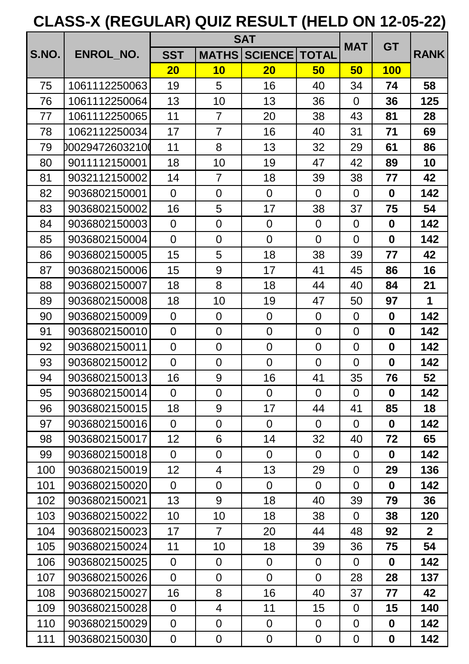|       |                 |                  | <b>SAT</b>     |                  |                |                | <b>GT</b>        |              |
|-------|-----------------|------------------|----------------|------------------|----------------|----------------|------------------|--------------|
| S.NO. | ENROL NO.       | <b>SST</b>       | <b>MATHS</b>   | <b>SCIENCE</b>   | <b>TOTAL</b>   | <b>MAT</b>     |                  | <b>RANK</b>  |
|       |                 | 20               | 10             | 20               | 50             | 50             | <b>100</b>       |              |
| 75    | 1061112250063   | 19               | 5              | 16               | 40             | 34             | 74               | 58           |
| 76    | 1061112250064   | 13               | 10             | 13               | 36             | $\Omega$       | 36               | 125          |
| 77    | 1061112250065   | 11               | $\overline{7}$ | 20               | 38             | 43             | 81               | 28           |
| 78    | 1062112250034   | 17               | $\overline{7}$ | 16               | 40             | 31             | 71               | 69           |
| 79    | 000294726032100 | 11               | 8              | 13               | 32             | 29             | 61               | 86           |
| 80    | 9011112150001   | 18               | 10             | 19               | 47             | 42             | 89               | 10           |
| 81    | 9032112150002   | 14               | $\overline{7}$ | 18               | 39             | 38             | 77               | 42           |
| 82    | 9036802150001   | $\Omega$         | $\overline{0}$ | $\Omega$         | $\overline{0}$ | $\overline{0}$ | $\mathbf 0$      | 142          |
| 83    | 9036802150002   | 16               | 5              | 17               | 38             | 37             | 75               | 54           |
| 84    | 9036802150003   | $\overline{0}$   | $\overline{0}$ | $\overline{0}$   | $\overline{0}$ | $\Omega$       | $\bf{0}$         | 142          |
| 85    | 9036802150004   | $\overline{0}$   | $\overline{0}$ | $\overline{0}$   | $\overline{0}$ | $\overline{0}$ | $\mathbf 0$      | 142          |
| 86    | 9036802150005   | 15               | 5              | 18               | 38             | 39             | 77               | 42           |
| 87    | 9036802150006   | 15               | 9              | 17               | 41             | 45             | 86               | 16           |
| 88    | 9036802150007   | 18               | 8              | 18               | 44             | 40             | 84               | 21           |
| 89    | 9036802150008   | 18               | 10             | 19               | 47             | 50             | 97               | $\mathbf 1$  |
| 90    | 9036802150009   | $\overline{0}$   | $\overline{0}$ | $\overline{0}$   | $\overline{0}$ | $\overline{0}$ | $\bf{0}$         | 142          |
| 91    | 9036802150010   | $\overline{0}$   | $\overline{0}$ | $\overline{0}$   | $\overline{0}$ | $\overline{0}$ | $\boldsymbol{0}$ | 142          |
| 92    | 9036802150011   | $\overline{0}$   | $\overline{0}$ | $\overline{0}$   | $\overline{0}$ | $\overline{0}$ | $\boldsymbol{0}$ | 142          |
| 93    | 9036802150012   | $\overline{0}$   | $\overline{0}$ | $\overline{0}$   | $\overline{0}$ | $\overline{0}$ | $\bf{0}$         | 142          |
| 94    | 9036802150013   | 16               | 9              | 16               | 41             | 35             | 76               | 52           |
| 95    | 9036802150014   | $\overline{0}$   | $\overline{0}$ | $\overline{0}$   | $\Omega$       | $\overline{0}$ | 0                | 142          |
| 96    | 9036802150015   | 18               | 9              | 17               | 44             | 41             | 85               | 18           |
| 97    | 9036802150016   | $\overline{0}$   | $\overline{0}$ | $\overline{0}$   | $\overline{0}$ | $\Omega$       | $\mathbf 0$      | 142          |
| 98    | 9036802150017   | 12               | 6              | 14               | 32             | 40             | 72               | 65           |
| 99    | 9036802150018   | $\overline{0}$   | $\overline{0}$ | $\overline{0}$   | $\overline{0}$ | $\Omega$       | $\mathbf 0$      | 142          |
| 100   | 9036802150019   | 12 <sub>2</sub>  | 4              | 13               | 29             | $\Omega$       | 29               | 136          |
| 101   | 9036802150020   | $\overline{0}$   | $\overline{0}$ | $\overline{0}$   | $\overline{0}$ | $\overline{0}$ | $\mathbf 0$      | 142          |
| 102   | 9036802150021   | 13               | 9              | 18               | 40             | 39             | 79               | 36           |
| 103   | 9036802150022   | 10               | 10             | 18               | 38             | $\Omega$       | 38               | 120          |
| 104   | 9036802150023   | 17               | $\overline{7}$ | 20               | 44             | 48             | 92               | $\mathbf{2}$ |
| 105   | 9036802150024   | 11               | 10             | 18               | 39             | 36             | 75               | 54           |
| 106   | 9036802150025   | $\overline{0}$   | $\overline{0}$ | $\overline{0}$   | $\overline{0}$ | $\overline{0}$ | $\mathbf 0$      | 142          |
| 107   | 9036802150026   | $\overline{0}$   | $\overline{0}$ | $\overline{0}$   | $\overline{0}$ | 28             | 28               | 137          |
| 108   | 9036802150027   | 16               | 8              | 16               | 40             | 37             | 77               | 42           |
| 109   | 9036802150028   | $\overline{0}$   | $\overline{4}$ | 11               | 15             | $\Omega$       | 15               | 140          |
| 110   | 9036802150029   | $\overline{0}$   | $\mathbf 0$    | $\overline{0}$   | $\overline{0}$ | $\overline{0}$ | $\bf{0}$         | 142          |
| 111   | 9036802150030   | $\boldsymbol{0}$ | $\mathbf 0$    | $\boldsymbol{0}$ | $\mathbf 0$    | $\mathbf 0$    | $\boldsymbol{0}$ | 142          |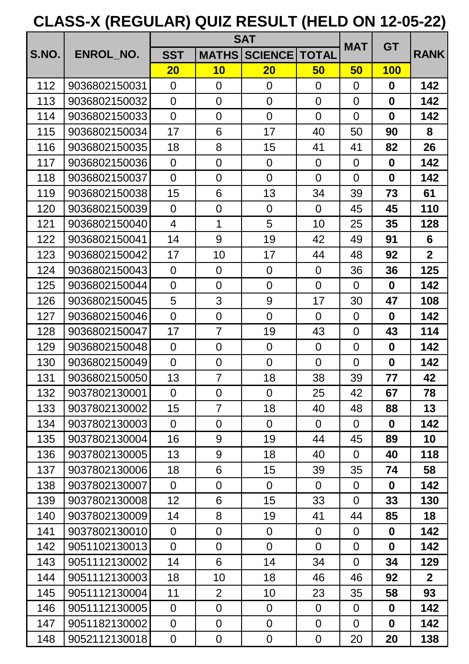|       |               |                 | <b>SAT</b>     |                | <b>MAT</b>     | <b>GT</b>      |                  |                |
|-------|---------------|-----------------|----------------|----------------|----------------|----------------|------------------|----------------|
| S.NO. | ENROL NO.     | <b>SST</b>      | <b>MATHS</b>   | <b>SCIENCE</b> | <b>TOTAL</b>   |                |                  | <b>RANK</b>    |
|       |               | 20              | 10             | 20             | 50             | 50             | <b>100</b>       |                |
| 112   | 9036802150031 | $\overline{0}$  | $\overline{0}$ | $\overline{0}$ | $\overline{0}$ | $\Omega$       | $\bf{0}$         | 142            |
| 113   | 9036802150032 | $\overline{0}$  | $\overline{0}$ | $\overline{0}$ | $\overline{0}$ | $\overline{0}$ | $\boldsymbol{0}$ | 142            |
| 114   | 9036802150033 | $\overline{0}$  | $\overline{0}$ | $\overline{0}$ | $\Omega$       | $\overline{0}$ | 0                | 142            |
| 115   | 9036802150034 | 17              | 6              | 17             | 40             | 50             | 90               | 8              |
| 116   | 9036802150035 | 18              | 8              | 15             | 41             | 41             | 82               | 26             |
| 117   | 9036802150036 | $\overline{0}$  | $\overline{0}$ | $\overline{0}$ | $\overline{0}$ | $\Omega$       | $\bf{0}$         | 142            |
| 118   | 9036802150037 | $\overline{0}$  | $\overline{0}$ | $\overline{0}$ | $\Omega$       | $\overline{0}$ | $\bf{0}$         | 142            |
| 119   | 9036802150038 | 15              | 6              | 13             | 34             | 39             | 73               | 61             |
| 120   | 9036802150039 | $\overline{0}$  | $\overline{0}$ | $\overline{0}$ | $\overline{0}$ | 45             | 45               | 110            |
| 121   | 9036802150040 | $\overline{4}$  | 1              | 5              | 10             | 25             | 35               | 128            |
| 122   | 9036802150041 | 14              | 9              | 19             | 42             | 49             | 91               | 6              |
| 123   | 9036802150042 | 17              | 10             | 17             | 44             | 48             | 92               | 2 <sup>2</sup> |
| 124   | 9036802150043 | $\overline{0}$  | $\overline{0}$ | $\overline{0}$ | $\overline{0}$ | 36             | 36               | 125            |
| 125   | 9036802150044 | $\overline{0}$  | $\overline{0}$ | $\overline{0}$ | $\overline{0}$ | $\Omega$       | $\bf{0}$         | 142            |
| 126   | 9036802150045 | 5               | 3              | 9              | 17             | 30             | 47               | 108            |
| 127   | 9036802150046 | $\overline{0}$  | $\overline{0}$ | $\overline{0}$ | $\overline{0}$ | $\overline{0}$ | $\bf{0}$         | 142            |
| 128   | 9036802150047 | 17              | $\overline{7}$ | 19             | 43             | $\overline{0}$ | 43               | 114            |
| 129   | 9036802150048 | $\overline{0}$  | $\overline{0}$ | $\overline{0}$ | $\overline{0}$ | $\overline{0}$ | $\bf{0}$         | 142            |
| 130   | 9036802150049 | $\overline{0}$  | $\overline{0}$ | $\overline{0}$ | $\overline{0}$ | $\overline{0}$ | $\bf{0}$         | 142            |
| 131   | 9036802150050 | 13              | $\overline{7}$ | 18             | 38             | 39             | 77               | 42             |
| 132   | 9037802130001 | $\Omega$        | 0              | $\Omega$       | 25             | 42             | 67               | 78             |
| 133   | 9037802130002 | 15 <sub>1</sub> | $\overline{7}$ | 18             | 40             | 48             | 88               | 13             |
| 134   | 9037802130003 | $\overline{0}$  | $\overline{0}$ | $\overline{0}$ | $\overline{0}$ | $\overline{0}$ | $\bf{0}$         | 142            |
| 135   | 9037802130004 | 16              | 9              | 19             | 44             | 45             | 89               | 10             |
| 136   | 9037802130005 | 13              | 9              | 18             | 40             | $\overline{0}$ | 40               | 118            |
| 137   | 9037802130006 | 18              | 6              | $15\,$         | 39             | 35             | 74               | 58             |
| 138   | 9037802130007 | $\overline{0}$  | $\overline{0}$ | $\overline{0}$ | $\overline{0}$ | $\Omega$       | $\bf{0}$         | 142            |
| 139   | 9037802130008 | 12 <sub>2</sub> | 6              | 15             | 33             | $\overline{0}$ | 33               | 130            |
| 140   | 9037802130009 | 14              | 8              | 19             | 41             | 44             | 85               | 18             |
| 141   | 9037802130010 | $\overline{0}$  | $\overline{0}$ | $\overline{0}$ | $\overline{0}$ | $\Omega$       | $\bf{0}$         | 142            |
| 142   | 9051102130013 | $\overline{0}$  | $\overline{0}$ | $\overline{0}$ | $\overline{0}$ | $\overline{0}$ | $\mathbf 0$      | 142            |
| 143   | 9051112130002 | 14              | 6              | 14             | 34             | $\overline{0}$ | 34               | 129            |
| 144   | 9051112130003 | 18              | 10             | 18             | 46             | 46             | 92               | 2 <sup>1</sup> |
| 145   | 9051112130004 | 11              | $\overline{2}$ | 10             | 23             | 35             | 58               | 93             |
| 146   | 9051112130005 | $\overline{0}$  | $\overline{0}$ | $\overline{0}$ | $\overline{0}$ | $\Omega$       | $\mathbf 0$      | 142            |
| 147   | 9051182130002 | $\overline{0}$  | $\overline{0}$ | $\overline{0}$ | $\overline{0}$ | $\overline{0}$ | $\mathbf 0$      | 142            |
| 148   | 9052112130018 | $\overline{0}$  | $\overline{0}$ | $\overline{0}$ | $\mathbf 0$    | 20             | 20               | 138            |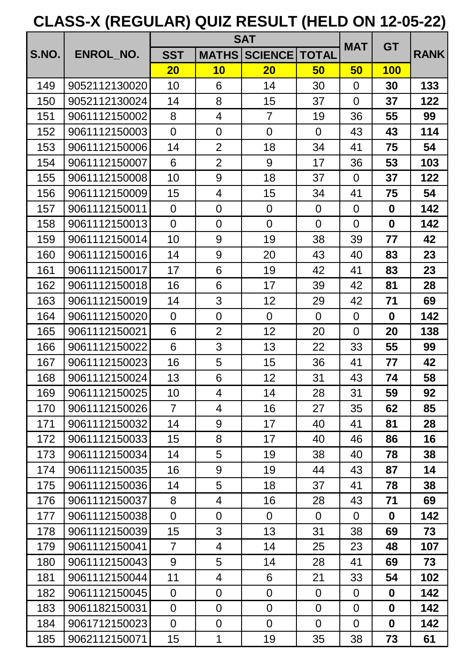|       |               | <b>SAT</b>     |                |                | <b>MAT</b>     | <b>GT</b>      |             |             |
|-------|---------------|----------------|----------------|----------------|----------------|----------------|-------------|-------------|
| S.NO. | ENROL NO.     | <b>SST</b>     | <b>MATHS</b>   | <b>SCIENCE</b> | <b>TOTAL</b>   |                |             | <b>RANK</b> |
|       |               | 20             | 10             | 20             | 50             | 50             | <b>100</b>  |             |
| 149   | 9052112130020 | 10             | 6              | 14             | 30             | $\overline{0}$ | 30          | 133         |
| 150   | 9052112130024 | 14             | 8              | 15             | 37             | $\overline{0}$ | 37          | 122         |
| 151   | 9061112150002 | 8              | 4              | $\overline{7}$ | 19             | 36             | 55          | 99          |
| 152   | 9061112150003 | $\overline{0}$ | $\mathbf 0$    | $\overline{0}$ | $\overline{0}$ | 43             | 43          | 114         |
| 153   | 9061112150006 | 14             | $\overline{2}$ | 18             | 34             | 41             | 75          | 54          |
| 154   | 9061112150007 | 6              | $\overline{2}$ | 9              | 17             | 36             | 53          | 103         |
| 155   | 9061112150008 | 10             | 9              | 18             | 37             | $\overline{0}$ | 37          | 122         |
| 156   | 9061112150009 | 15             | 4              | 15             | 34             | 41             | 75          | 54          |
| 157   | 9061112150011 | $\overline{0}$ | $\overline{0}$ | $\overline{0}$ | $\overline{0}$ | $\overline{0}$ | $\mathbf 0$ | 142         |
| 158   | 9061112150013 | $\overline{0}$ | $\mathbf 0$    | $\overline{0}$ | $\overline{0}$ | $\overline{0}$ | $\mathbf 0$ | 142         |
| 159   | 9061112150014 | 10             | 9              | 19             | 38             | 39             | 77          | 42          |
| 160   | 9061112150016 | 14             | 9              | 20             | 43             | 40             | 83          | 23          |
| 161   | 9061112150017 | 17             | 6              | 19             | 42             | 41             | 83          | 23          |
| 162   | 9061112150018 | 16             | 6              | 17             | 39             | 42             | 81          | 28          |
| 163   | 9061112150019 | 14             | 3              | 12             | 29             | 42             | 71          | 69          |
| 164   | 9061112150020 | $\overline{0}$ | $\mathbf 0$    | $\overline{0}$ | $\overline{0}$ | $\overline{0}$ | $\mathbf 0$ | 142         |
| 165   | 9061112150021 | 6              | $\overline{2}$ | 12             | 20             | $\overline{0}$ | 20          | 138         |
| 166   | 9061112150022 | 6              | 3              | 13             | 22             | 33             | 55          | 99          |
| 167   | 9061112150023 | 16             | 5              | 15             | 36             | 41             | 77          | 42          |
| 168   | 9061112150024 | 13             | 6              | 12             | 31             | 43             | 74          | 58          |
| 169   | 9061112150025 | 10             | 4              | 14             | 28             | 31             | 59          | 92          |
| 170   | 9061112150026 | $\overline{7}$ | 4              | 16             | 27             | 35             | 62          | 85          |
| 171   | 9061112150032 | 14             | 9              | 17             | 40             | 41             | 81          | 28          |
| 172   | 9061112150033 | 15             | 8              | 17             | 40             | 46             | 86          | 16          |
| 173   | 9061112150034 | 14             | 5              | 19             | 38             | 40             | 78          | 38          |
| 174   | 9061112150035 | 16             | 9              | 19             | 44             | 43             | 87          | 14          |
| 175   | 9061112150036 | 14             | 5              | 18             | 37             | 41             | 78          | 38          |
| 176   | 9061112150037 | 8              | 4              | 16             | 28             | 43             | 71          | 69          |
| 177   | 9061112150038 | $\overline{0}$ | $\mathbf 0$    | $\overline{0}$ | $\overline{0}$ | $\overline{0}$ | $\mathbf 0$ | 142         |
| 178   | 9061112150039 | 15             | 3              | 13             | 31             | 38             | 69          | 73          |
| 179   | 9061112150041 | $\overline{7}$ | 4              | 14             | 25             | 23             | 48          | 107         |
| 180   | 9061112150043 | 9              | 5              | 14             | 28             | 41             | 69          | 73          |
| 181   | 9061112150044 | 11             | $\overline{4}$ | 6              | 21             | 33             | 54          | 102         |
| 182   | 9061112150045 | $\overline{0}$ | 0              | $\overline{0}$ | $\overline{0}$ | $\overline{0}$ | $\mathbf 0$ | 142         |
| 183   | 9061182150031 | $\overline{0}$ | $\overline{0}$ | $\overline{0}$ | $\overline{0}$ | $\overline{0}$ | $\mathbf 0$ | 142         |
| 184   | 9061712150023 | $\overline{0}$ | $\mathbf 0$    | $\overline{0}$ | $\overline{0}$ | $\overline{0}$ | $\mathbf 0$ | 142         |
| 185   | 9062112150071 | 15             | 1              | 19             | 35             | 38             | 73          | 61          |